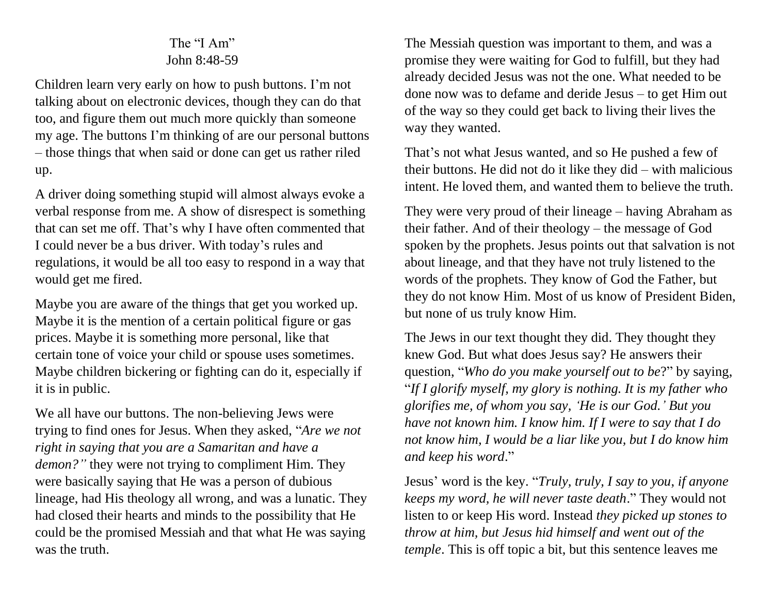## The "I Am" John 8:48-59

Children learn very early on how to push buttons. I'm not talking about on electronic devices, though they can do that too, and figure them out much more quickly than someone my age. The buttons I'm thinking of are our personal buttons – those things that when said or done can get us rather riled up.

A driver doing something stupid will almost always evoke a verbal response from me. A show of disrespect is something that can set me off. That's why I have often commented that I could never be a bus driver. With today's rules and regulations, it would be all too easy to respond in a way that would get me fired.

Maybe you are aware of the things that get you worked up. Maybe it is the mention of a certain political figure or gas prices. Maybe it is something more personal, like that certain tone of voice your child or spouse uses sometimes. Maybe children bickering or fighting can do it, especially if it is in public.

We all have our buttons. The non-believing Jews were trying to find ones for Jesus. When they asked, "*Are we not right in saying that you are a Samaritan and have a demon?"* they were not trying to compliment Him. They were basically saying that He was a person of dubious lineage, had His theology all wrong, and was a lunatic. They had closed their hearts and minds to the possibility that He could be the promised Messiah and that what He was saying was the truth.

The Messiah question was important to them, and was a promise they were waiting for God to fulfill, but they had already decided Jesus was not the one. What needed to be done now was to defame and deride Jesus – to get Him out of the way so they could get back to living their lives the way they wanted.

That's not what Jesus wanted, and so He pushed a few of their buttons. He did not do it like they did – with malicious intent. He loved them, and wanted them to believe the truth.

They were very proud of their lineage – having Abraham as their father. And of their theology – the message of God spoken by the prophets. Jesus points out that salvation is not about lineage, and that they have not truly listened to the words of the prophets. They know of God the Father, but they do not know Him. Most of us know of President Biden, but none of us truly know Him.

The Jews in our text thought they did. They thought they knew God. But what does Jesus say? He answers their question, "*Who do you make yourself out to be*?" by saying, "*If I glorify myself, my glory is nothing. It is my father who glorifies me, of whom you say, 'He is our God.' But you have not known him. I know him. If I were to say that I do not know him, I would be a liar like you, but I do know him and keep his word*."

Jesus' word is the key. "*Truly, truly, I say to you*, *if anyone keeps my word, he will never taste death*." They would not listen to or keep His word. Instead *they picked up stones to throw at him, but Jesus hid himself and went out of the temple*. This is off topic a bit, but this sentence leaves me